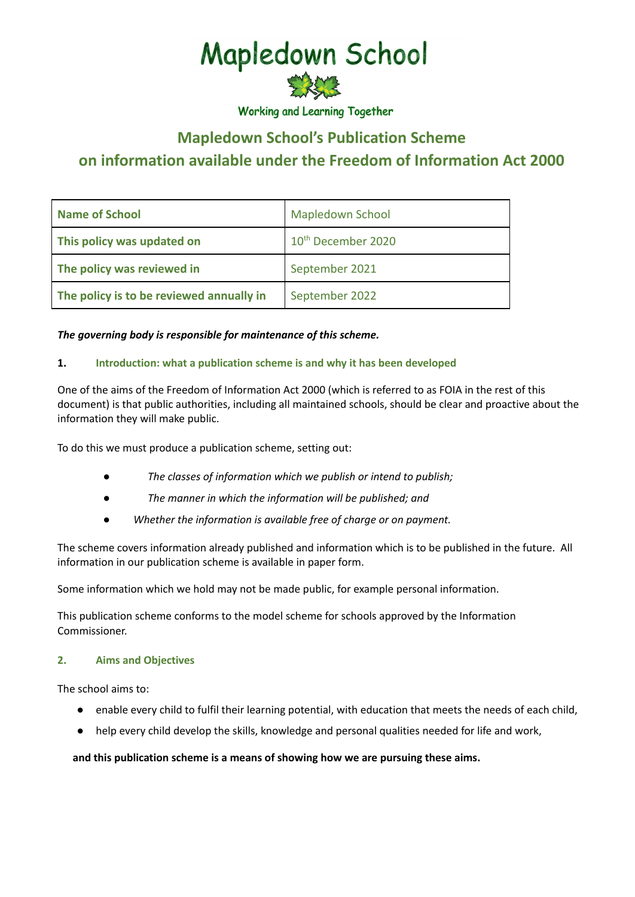# Mapledown School

**Working and Learning Together** 

# **Mapledown School's Publication Scheme on information available under the Freedom of Information Act 2000**

| <b>Name of School</b>                    | <b>Mapledown School</b>        |
|------------------------------------------|--------------------------------|
| This policy was updated on               | 10 <sup>th</sup> December 2020 |
| The policy was reviewed in               | September 2021                 |
| The policy is to be reviewed annually in | September 2022                 |

# *The governing body is responsible for maintenance of this scheme.*

# **1. Introduction: what a publication scheme is and why it has been developed**

One of the aims of the Freedom of Information Act 2000 (which is referred to as FOIA in the rest of this document) is that public authorities, including all maintained schools, should be clear and proactive about the information they will make public.

To do this we must produce a publication scheme, setting out:

- *● The classes of information which we publish or intend to publish;*
- *● The manner in which the information will be published; and*
- *● Whether the information is available free of charge or on payment.*

The scheme covers information already published and information which is to be published in the future. All information in our publication scheme is available in paper form.

Some information which we hold may not be made public, for example personal information.

This publication scheme conforms to the model scheme for schools approved by the Information Commissioner.

#### **2. Aims and Objectives**

The school aims to:

- enable every child to fulfil their learning potential, with education that meets the needs of each child,
- help every child develop the skills, knowledge and personal qualities needed for life and work,

#### **and this publication scheme is a means of showing how we are pursuing these aims.**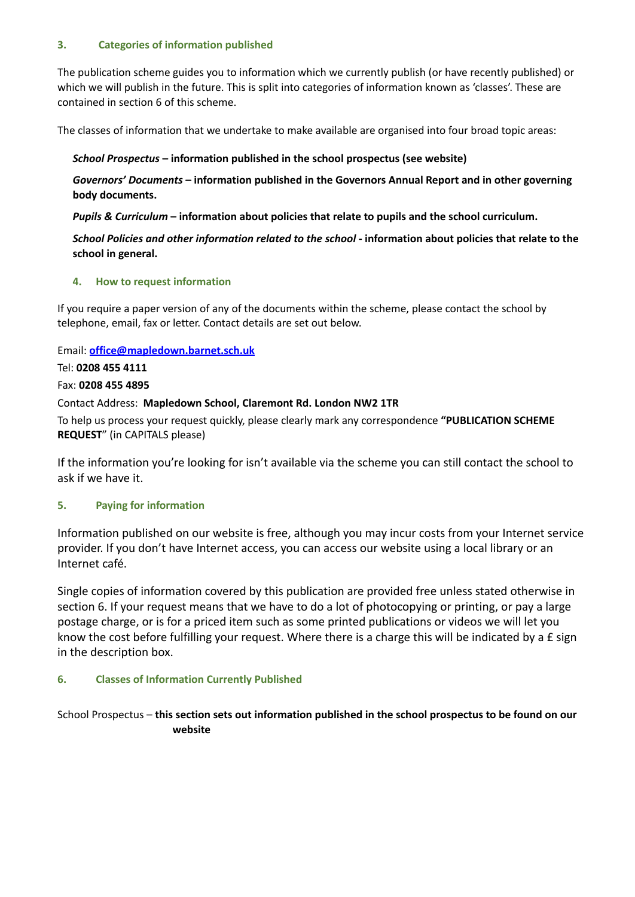#### **3. Categories of information published**

The publication scheme guides you to information which we currently publish (or have recently published) or which we will publish in the future. This is split into categories of information known as 'classes'. These are contained in section 6 of this scheme.

The classes of information that we undertake to make available are organised into four broad topic areas:

#### *School Prospectus* **– information published in the school prospectus (see website)**

*Governors' Documents* **– information published in the Governors Annual Report and in other governing body documents.**

*Pupils & Curriculum* **– information about policies that relate to pupils and the school curriculum.**

School Policies and other information related to the school - information about policies that relate to the **school in general.**

#### **4. How to request information**

If you require a paper version of any of the documents within the scheme, please contact the school by telephone, email, fax or letter. Contact details are set out below.

Email: **[office@mapledown.barnet.sch.uk](mailto:office@mapledown.barnet.sch.uk)**

#### Tel: **0208 455 4111**

#### Fax: **0208 455 4895**

#### Contact Address: **Mapledown School, Claremont Rd. London NW2 1TR**

To help us process your request quickly, please clearly mark any correspondence **"PUBLICATION SCHEME REQUEST**" (in CAPITALS please)

If the information you're looking for isn't available via the scheme you can still contact the school to ask if we have it.

# **5. Paying for information**

Information published on our website is free, although you may incur costs from your Internet service provider. If you don't have Internet access, you can access our website using a local library or an Internet café.

Single copies of information covered by this publication are provided free unless stated otherwise in section 6. If your request means that we have to do a lot of photocopying or printing, or pay a large postage charge, or is for a priced item such as some printed publications or videos we will let you know the cost before fulfilling your request. Where there is a charge this will be indicated by a £ sign in the description box.

# **6. Classes of Information Currently Published**

School Prospectus – **this section sets out information published in the school prospectus to be found on our website**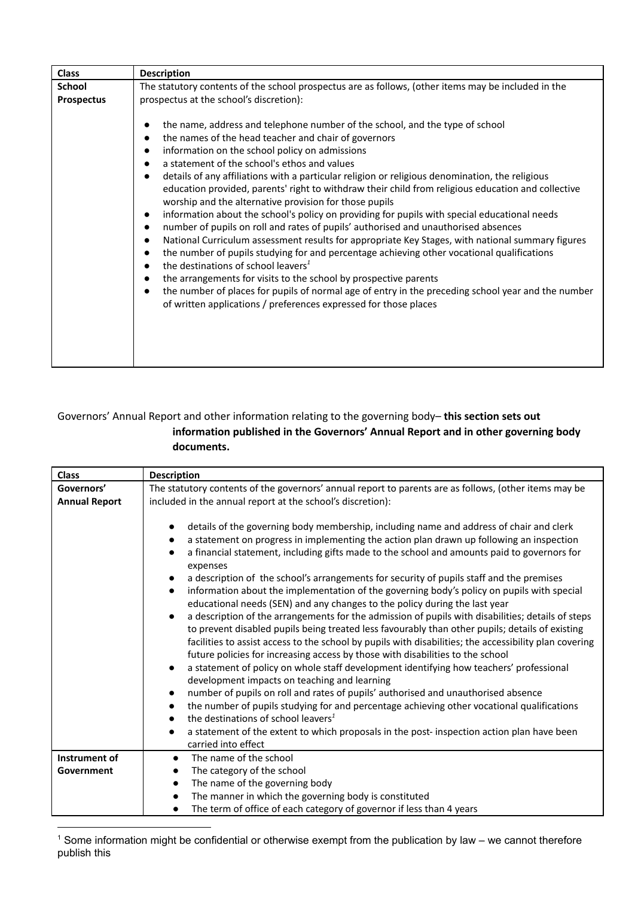| <b>Class</b>      | <b>Description</b>                                                                                                                                                                                                                                                                                                                                                                                                                                                                                                                                                                                                                                                                                                                                                                                                                                                                                                                                                                                                                                                                                                                                                                                                                            |
|-------------------|-----------------------------------------------------------------------------------------------------------------------------------------------------------------------------------------------------------------------------------------------------------------------------------------------------------------------------------------------------------------------------------------------------------------------------------------------------------------------------------------------------------------------------------------------------------------------------------------------------------------------------------------------------------------------------------------------------------------------------------------------------------------------------------------------------------------------------------------------------------------------------------------------------------------------------------------------------------------------------------------------------------------------------------------------------------------------------------------------------------------------------------------------------------------------------------------------------------------------------------------------|
| <b>School</b>     | The statutory contents of the school prospectus are as follows, (other items may be included in the                                                                                                                                                                                                                                                                                                                                                                                                                                                                                                                                                                                                                                                                                                                                                                                                                                                                                                                                                                                                                                                                                                                                           |
| <b>Prospectus</b> | prospectus at the school's discretion):<br>the name, address and telephone number of the school, and the type of school<br>the names of the head teacher and chair of governors<br>information on the school policy on admissions<br>a statement of the school's ethos and values<br>details of any affiliations with a particular religion or religious denomination, the religious<br>education provided, parents' right to withdraw their child from religious education and collective<br>worship and the alternative provision for those pupils<br>information about the school's policy on providing for pupils with special educational needs<br>number of pupils on roll and rates of pupils' authorised and unauthorised absences<br>National Curriculum assessment results for appropriate Key Stages, with national summary figures<br>the number of pupils studying for and percentage achieving other vocational qualifications<br>the destinations of school leavers <sup>1</sup><br>the arrangements for visits to the school by prospective parents<br>the number of places for pupils of normal age of entry in the preceding school year and the number<br>of written applications / preferences expressed for those places |
|                   |                                                                                                                                                                                                                                                                                                                                                                                                                                                                                                                                                                                                                                                                                                                                                                                                                                                                                                                                                                                                                                                                                                                                                                                                                                               |

# Governors' Annual Report and other information relating to the governing body– **this section sets out information published in the Governors' Annual Report and in other governing body documents.**

| <b>Class</b>         | <b>Description</b>                                                                                                                                                                                                                                                                                                                                                                                                                                                                                                                                                                                                                                                                                                                                                                                                                                                                                                                                                                                                                                                                                                                                                                                                                                                                                                                                                                                                                                                                                        |
|----------------------|-----------------------------------------------------------------------------------------------------------------------------------------------------------------------------------------------------------------------------------------------------------------------------------------------------------------------------------------------------------------------------------------------------------------------------------------------------------------------------------------------------------------------------------------------------------------------------------------------------------------------------------------------------------------------------------------------------------------------------------------------------------------------------------------------------------------------------------------------------------------------------------------------------------------------------------------------------------------------------------------------------------------------------------------------------------------------------------------------------------------------------------------------------------------------------------------------------------------------------------------------------------------------------------------------------------------------------------------------------------------------------------------------------------------------------------------------------------------------------------------------------------|
| Governors'           | The statutory contents of the governors' annual report to parents are as follows, (other items may be                                                                                                                                                                                                                                                                                                                                                                                                                                                                                                                                                                                                                                                                                                                                                                                                                                                                                                                                                                                                                                                                                                                                                                                                                                                                                                                                                                                                     |
| <b>Annual Report</b> | included in the annual report at the school's discretion):                                                                                                                                                                                                                                                                                                                                                                                                                                                                                                                                                                                                                                                                                                                                                                                                                                                                                                                                                                                                                                                                                                                                                                                                                                                                                                                                                                                                                                                |
|                      | details of the governing body membership, including name and address of chair and clerk<br>a statement on progress in implementing the action plan drawn up following an inspection<br>a financial statement, including gifts made to the school and amounts paid to governors for<br>expenses<br>a description of the school's arrangements for security of pupils staff and the premises<br>information about the implementation of the governing body's policy on pupils with special<br>$\bullet$<br>educational needs (SEN) and any changes to the policy during the last year<br>a description of the arrangements for the admission of pupils with disabilities; details of steps<br>$\bullet$<br>to prevent disabled pupils being treated less favourably than other pupils; details of existing<br>facilities to assist access to the school by pupils with disabilities; the accessibility plan covering<br>future policies for increasing access by those with disabilities to the school<br>a statement of policy on whole staff development identifying how teachers' professional<br>development impacts on teaching and learning<br>number of pupils on roll and rates of pupils' authorised and unauthorised absence<br>the number of pupils studying for and percentage achieving other vocational qualifications<br>the destinations of school leavers <sup>1</sup><br>a statement of the extent to which proposals in the post-inspection action plan have been<br>carried into effect |
| Instrument of        | The name of the school<br>$\bullet$                                                                                                                                                                                                                                                                                                                                                                                                                                                                                                                                                                                                                                                                                                                                                                                                                                                                                                                                                                                                                                                                                                                                                                                                                                                                                                                                                                                                                                                                       |
| Government           | The category of the school                                                                                                                                                                                                                                                                                                                                                                                                                                                                                                                                                                                                                                                                                                                                                                                                                                                                                                                                                                                                                                                                                                                                                                                                                                                                                                                                                                                                                                                                                |
|                      | The name of the governing body                                                                                                                                                                                                                                                                                                                                                                                                                                                                                                                                                                                                                                                                                                                                                                                                                                                                                                                                                                                                                                                                                                                                                                                                                                                                                                                                                                                                                                                                            |
|                      | The manner in which the governing body is constituted                                                                                                                                                                                                                                                                                                                                                                                                                                                                                                                                                                                                                                                                                                                                                                                                                                                                                                                                                                                                                                                                                                                                                                                                                                                                                                                                                                                                                                                     |
|                      | The term of office of each category of governor if less than 4 years                                                                                                                                                                                                                                                                                                                                                                                                                                                                                                                                                                                                                                                                                                                                                                                                                                                                                                                                                                                                                                                                                                                                                                                                                                                                                                                                                                                                                                      |

<sup>1</sup> Some information might be confidential or otherwise exempt from the publication by law – we cannot therefore publish this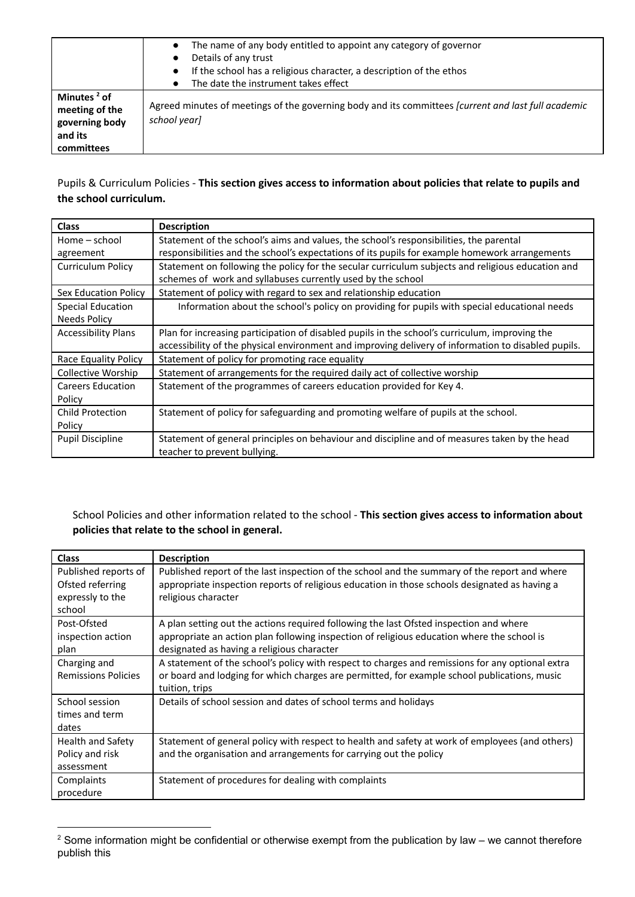|                                                                                      | The name of any body entitled to appoint any category of governor<br>Details of any trust<br>If the school has a religious character, a description of the ethos<br>The date the instrument takes effect |
|--------------------------------------------------------------------------------------|----------------------------------------------------------------------------------------------------------------------------------------------------------------------------------------------------------|
| Minutes <sup>2</sup> of<br>meeting of the<br>governing body<br>and its<br>committees | Agreed minutes of meetings of the governing body and its committees <i>[current and last full academic</i><br>school yearl                                                                               |

# Pupils & Curriculum Policies - **This section gives access to information about policies that relate to pupils and the school curriculum.**

| <b>Class</b>               | <b>Description</b>                                                                                  |
|----------------------------|-----------------------------------------------------------------------------------------------------|
| Home – school              | Statement of the school's aims and values, the school's responsibilities, the parental              |
| agreement                  | responsibilities and the school's expectations of its pupils for example homework arrangements      |
| Curriculum Policy          | Statement on following the policy for the secular curriculum subjects and religious education and   |
|                            | schemes of work and syllabuses currently used by the school                                         |
| Sex Education Policy       | Statement of policy with regard to sex and relationship education                                   |
| <b>Special Education</b>   | Information about the school's policy on providing for pupils with special educational needs        |
| Needs Policy               |                                                                                                     |
| <b>Accessibility Plans</b> | Plan for increasing participation of disabled pupils in the school's curriculum, improving the      |
|                            | accessibility of the physical environment and improving delivery of information to disabled pupils. |
| Race Equality Policy       | Statement of policy for promoting race equality                                                     |
| Collective Worship         | Statement of arrangements for the required daily act of collective worship                          |
| <b>Careers Education</b>   | Statement of the programmes of careers education provided for Key 4.                                |
| Policy                     |                                                                                                     |
| <b>Child Protection</b>    | Statement of policy for safeguarding and promoting welfare of pupils at the school.                 |
| Policy                     |                                                                                                     |
| <b>Pupil Discipline</b>    | Statement of general principles on behaviour and discipline and of measures taken by the head       |
|                            | teacher to prevent bullying.                                                                        |

# School Policies and other information related to the school - **This section gives access to information about policies that relate to the school in general.**

| <b>Class</b>                                                           | <b>Description</b>                                                                                                                                                                                                                 |
|------------------------------------------------------------------------|------------------------------------------------------------------------------------------------------------------------------------------------------------------------------------------------------------------------------------|
| Published reports of<br>Ofsted referring<br>expressly to the<br>school | Published report of the last inspection of the school and the summary of the report and where<br>appropriate inspection reports of religious education in those schools designated as having a<br>religious character              |
| Post-Ofsted<br>inspection action<br>plan                               | A plan setting out the actions required following the last Ofsted inspection and where<br>appropriate an action plan following inspection of religious education where the school is<br>designated as having a religious character |
| Charging and<br><b>Remissions Policies</b>                             | A statement of the school's policy with respect to charges and remissions for any optional extra<br>or board and lodging for which charges are permitted, for example school publications, music<br>tuition, trips                 |
| School session<br>times and term<br>dates                              | Details of school session and dates of school terms and holidays                                                                                                                                                                   |
| Health and Safety<br>Policy and risk<br>assessment                     | Statement of general policy with respect to health and safety at work of employees (and others)<br>and the organisation and arrangements for carrying out the policy                                                               |
| Complaints<br>procedure                                                | Statement of procedures for dealing with complaints                                                                                                                                                                                |

<sup>&</sup>lt;sup>2</sup> Some information might be confidential or otherwise exempt from the publication by law – we cannot therefore publish this